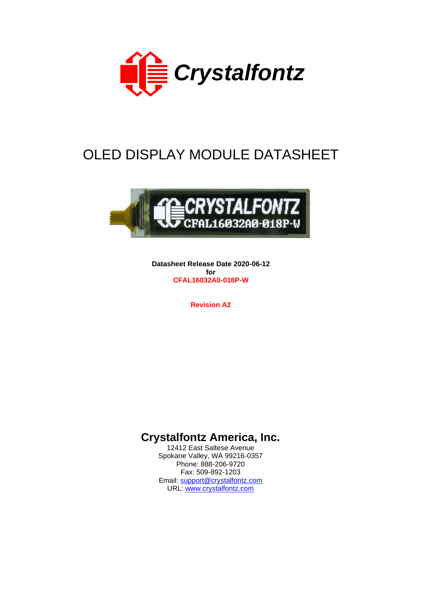

# OLED DISPLAY MODULE DATASHEET



**Datasheet Release Date 2020-06-12 for CFAL16032A0-018P-W**

**Revision A2**

## **Crystalfontz America, Inc.**

12412 East Saltese Avenue Spokane Valley, WA 99216-0357 Phone: 888-206-9720 Fax: 509-892-1203 Email: [support@crystalfontz.com](mailto:support@crystalfontz.com) URL: [www.crystalfontz.com](https://www.crystalfontz.com/)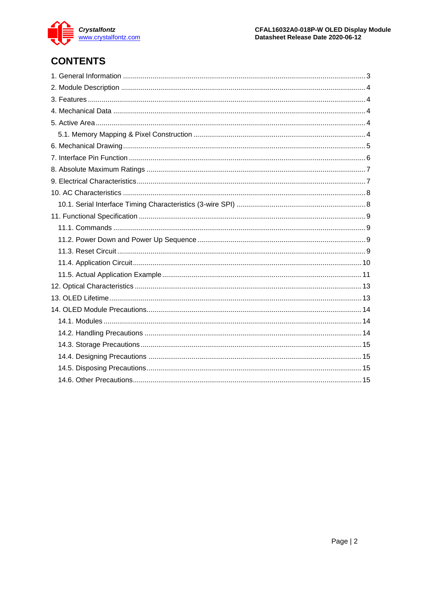

# **CONTENTS**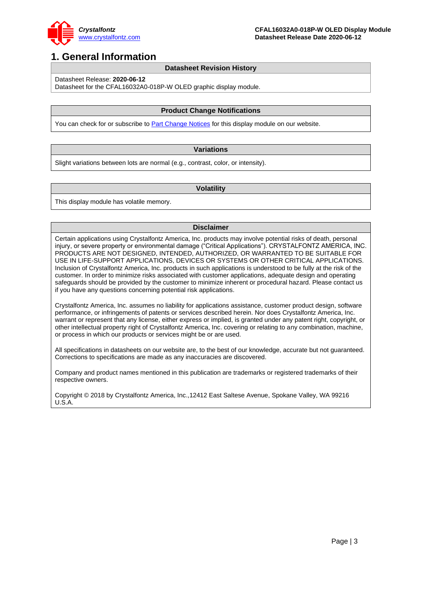

### <span id="page-2-0"></span>**1. General Information**

#### **Datasheet Revision History**

Datasheet Release: **2020-06-12**

Datasheet for the CFAL16032A0-018P-W OLED graphic display module.

#### **Product Change Notifications**

You can check for or subscribe to **Part Change Notices** for this display module on our website.

#### **Variations**

Slight variations between lots are normal (e.g., contrast, color, or intensity).

#### **Volatility**

This display module has volatile memory.

#### **Disclaimer**

Certain applications using Crystalfontz America, Inc. products may involve potential risks of death, personal injury, or severe property or environmental damage ("Critical Applications"). CRYSTALFONTZ AMERICA, INC. PRODUCTS ARE NOT DESIGNED, INTENDED, AUTHORIZED, OR WARRANTED TO BE SUITABLE FOR USE IN LIFE-SUPPORT APPLICATIONS, DEVICES OR SYSTEMS OR OTHER CRITICAL APPLICATIONS. Inclusion of Crystalfontz America, Inc. products in such applications is understood to be fully at the risk of the customer. In order to minimize risks associated with customer applications, adequate design and operating safeguards should be provided by the customer to minimize inherent or procedural hazard. Please contact us if you have any questions concerning potential risk applications.

Crystalfontz America, Inc. assumes no liability for applications assistance, customer product design, software performance, or infringements of patents or services described herein. Nor does Crystalfontz America, Inc. warrant or represent that any license, either express or implied, is granted under any patent right, copyright, or other intellectual property right of Crystalfontz America, Inc. covering or relating to any combination, machine, or process in which our products or services might be or are used.

All specifications in datasheets on our website are, to the best of our knowledge, accurate but not guaranteed. Corrections to specifications are made as any inaccuracies are discovered.

Company and product names mentioned in this publication are trademarks or registered trademarks of their respective owners.

Copyright © 2018 by Crystalfontz America, Inc.,12412 East Saltese Avenue, Spokane Valley, WA 99216 U.S.A.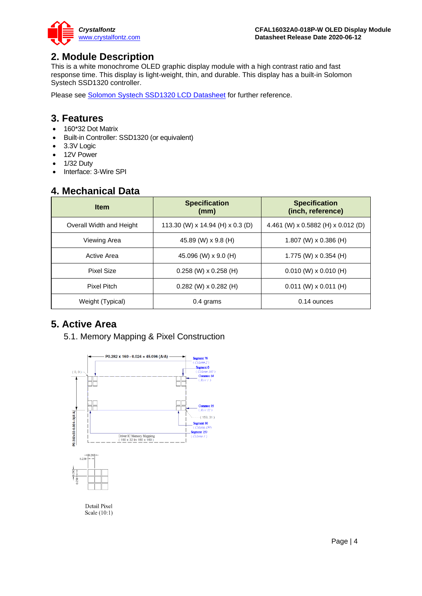

### <span id="page-3-0"></span>**2. Module Description**

This is a white monochrome OLED graphic display module with a high contrast ratio and fast response time. This display is light-weight, thin, and durable. This display has a built-in Solomon Systech SSD1320 controller.

Please see [Solomon Systech SSD1320 LCD Datasheet](https://www.crystalfontz.com/controllers/SolomonSystech/SSD1320/) for further reference.

### <span id="page-3-1"></span>**3. Features**

- 160\*32 Dot Matrix
- Built-in Controller: SSD1320 (or equivalent)
- 3.3V Logic
- 12V Power
- 1/32 Duty
- Interface: 3-Wire SPI

### <span id="page-3-2"></span>**4. Mechanical Data**

| <b>Item</b>              | <b>Specification</b><br>(mm)     | <b>Specification</b><br>(inch, reference) |  |
|--------------------------|----------------------------------|-------------------------------------------|--|
| Overall Width and Height | 113.30 (W) x 14.94 (H) x 0.3 (D) | 4.461 (W) x 0.5882 (H) x 0.012 (D)        |  |
| Viewing Area             | 45.89 (W) x 9.8 (H)              | 1.807 (W) $\times$ 0.386 (H)              |  |
| Active Area              | 45.096 (W) x 9.0 (H)             | 1.775 (W) $\times$ 0.354 (H)              |  |
| <b>Pixel Size</b>        | $0.258$ (W) x 0.258 (H)          | $0.010$ (W) x $0.010$ (H)                 |  |
| <b>Pixel Pitch</b>       | $0.282$ (W) x $0.282$ (H)        | $0.011$ (W) x 0.011 (H)                   |  |
| Weight (Typical)         | 0.4 grams                        | 0.14 ounces                               |  |

### <span id="page-3-4"></span><span id="page-3-3"></span>**5. Active Area**

5.1. Memory Mapping & Pixel Construction

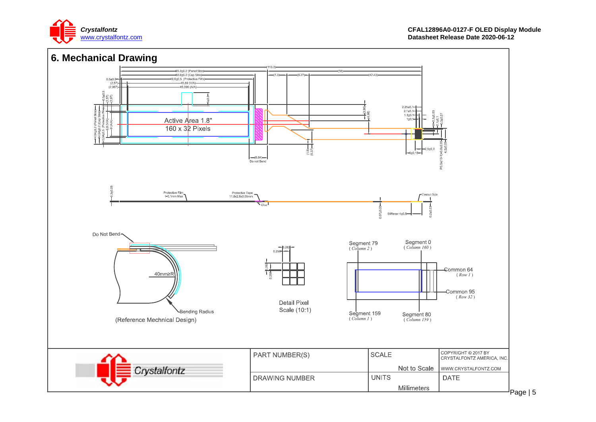

<span id="page-4-0"></span>

Page | 5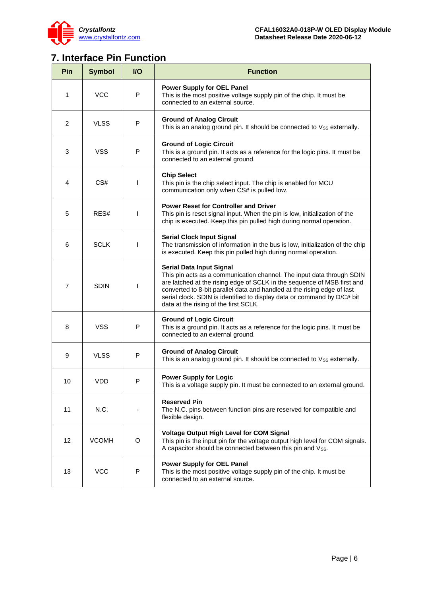

L,

# <span id="page-5-0"></span>**7. Interface Pin Function**

| Pin            | <b>Symbol</b> | $II$ | <b>Function</b>                                                                                                                                                                                                                                                                                                                                                             |  |  |  |  |
|----------------|---------------|------|-----------------------------------------------------------------------------------------------------------------------------------------------------------------------------------------------------------------------------------------------------------------------------------------------------------------------------------------------------------------------------|--|--|--|--|
| 1              | <b>VCC</b>    | P    | <b>Power Supply for OEL Panel</b><br>This is the most positive voltage supply pin of the chip. It must be<br>connected to an external source.                                                                                                                                                                                                                               |  |  |  |  |
| $\overline{2}$ | <b>VLSS</b>   | P    | <b>Ground of Analog Circuit</b><br>This is an analog ground pin. It should be connected to Vss externally.                                                                                                                                                                                                                                                                  |  |  |  |  |
| 3              | <b>VSS</b>    | P    | <b>Ground of Logic Circuit</b><br>This is a ground pin. It acts as a reference for the logic pins. It must be<br>connected to an external ground.                                                                                                                                                                                                                           |  |  |  |  |
| 4              | CS#           | T    | <b>Chip Select</b><br>This pin is the chip select input. The chip is enabled for MCU<br>communication only when CS# is pulled low.                                                                                                                                                                                                                                          |  |  |  |  |
| 5              | RES#          | I    | <b>Power Reset for Controller and Driver</b><br>This pin is reset signal input. When the pin is low, initialization of the<br>chip is executed. Keep this pin pulled high during normal operation.                                                                                                                                                                          |  |  |  |  |
| 6              | <b>SCLK</b>   | T    | <b>Serial Clock Input Signal</b><br>The transmission of information in the bus is low, initialization of the chip<br>is executed. Keep this pin pulled high during normal operation.                                                                                                                                                                                        |  |  |  |  |
| 7              | <b>SDIN</b>   | I    | Serial Data Input Signal<br>This pin acts as a communication channel. The input data through SDIN<br>are latched at the rising edge of SCLK in the sequence of MSB first and<br>converted to 8-bit parallel data and handled at the rising edge of last<br>serial clock. SDIN is identified to display data or command by D/C# bit<br>data at the rising of the first SCLK. |  |  |  |  |
| 8              | <b>VSS</b>    | P    | <b>Ground of Logic Circuit</b><br>This is a ground pin. It acts as a reference for the logic pins. It must be<br>connected to an external ground.                                                                                                                                                                                                                           |  |  |  |  |
| 9              | <b>VLSS</b>   | P    | <b>Ground of Analog Circuit</b><br>This is an analog ground pin. It should be connected to Vss externally.                                                                                                                                                                                                                                                                  |  |  |  |  |
| 10             | VDD           | P    | <b>Power Supply for Logic</b><br>This is a voltage supply pin. It must be connected to an external ground.                                                                                                                                                                                                                                                                  |  |  |  |  |
| 11             | N.C.          |      | <b>Reserved Pin</b><br>The N.C. pins between function pins are reserved for compatible and<br>flexible design.                                                                                                                                                                                                                                                              |  |  |  |  |
| 12             | <b>VCOMH</b>  | O    | <b>Voltage Output High Level for COM Signal</b><br>This pin is the input pin for the voltage output high level for COM signals.<br>A capacitor should be connected between this pin and Vss.                                                                                                                                                                                |  |  |  |  |
| 13             | <b>VCC</b>    | P    | <b>Power Supply for OEL Panel</b><br>This is the most positive voltage supply pin of the chip. It must be<br>connected to an external source.                                                                                                                                                                                                                               |  |  |  |  |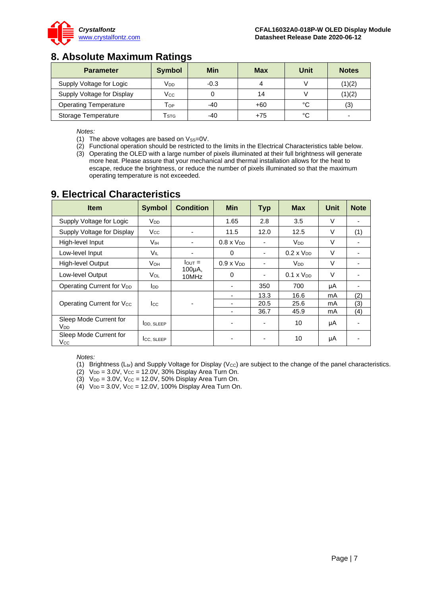

### <span id="page-6-0"></span>**8. Absolute Maximum Ratings**

| <b>Parameter</b>             | Symbol | Min    | <b>Max</b> | Unit | <b>Notes</b> |
|------------------------------|--------|--------|------------|------|--------------|
| Supply Voltage for Logic     | Vdd    | $-0.3$ |            |      | (1)(2)       |
| Supply Voltage for Display   | Vcc    |        | 14         |      | (1)(2)       |
| <b>Operating Temperature</b> | Тор    | $-40$  | +60        | °C   | (3)          |
| Storage Temperature          | STG    | $-40$  | $+75$      | °C   | -            |

*Notes:*

- (1) The above voltages are based on  $V_{SS}=0V$ .
- $(2)$  Functional operation should be restricted to the limits in the Electrical Characteristics table below.
- (3) Operating the OLED with a large number of pixels illuminated at their full brightness will generate more heat. Please assure that your mechanical and thermal installation allows for the heat to escape, reduce the brightness, or reduce the number of pixels illuminated so that the maximum operating temperature is not exceeded.

### <span id="page-6-1"></span>**9. Electrical Characteristics**

| <b>Item</b>                               | <b>Symbol</b>         | <b>Condition</b>   | <b>Min</b>          | <b>Typ</b> | <b>Max</b>             | <b>Unit</b> | <b>Note</b> |
|-------------------------------------------|-----------------------|--------------------|---------------------|------------|------------------------|-------------|-------------|
| Supply Voltage for Logic                  | <b>V<sub>DD</sub></b> |                    | 1.65                | 2.8        | 3.5                    | $\vee$      |             |
| Supply Voltage for Display                | <b>V<sub>cc</sub></b> |                    | 11.5                | 12.0       | 12.5                   | V           | (1)         |
| High-level Input                          | Vıн                   |                    | $0.8 \times V_{DD}$ |            | <b>V<sub>DD</sub></b>  | V           |             |
| Low-level Input                           | VIL                   | ٠                  | $\Omega$            |            | $0.2 \times V_{DD}$    | $\vee$      |             |
| High-level Output                         | <b>V</b> он           | $I_{\text{OUT}} =$ | $0.9 \times V_{DD}$ |            | <b>V</b> <sub>DD</sub> | $\vee$      |             |
| Low-level Output                          | Vol                   | 100µA,<br>10MHz    | 0                   |            | $0.1 \times V_{DD}$    | $\vee$      |             |
| Operating Current for V <sub>DD</sub>     | l <sub>DD</sub>       |                    | ٠                   | 350        | 700                    | μA          |             |
| Operating Current for Vcc                 | <b>I</b> cc           |                    | ٠                   | 13.3       | 16.6                   | mA          | (2)         |
|                                           |                       |                    | ۰                   | 20.5       | 25.6                   | mA          | (3)         |
|                                           |                       |                    | ۰                   | 36.7       | 45.9                   | mA          | (4)         |
| Sleep Mode Current for<br>V <sub>DD</sub> | <b>IDD. SLEEP</b>     |                    | ۰                   |            | 10                     | μA          |             |
| Sleep Mode Current for<br>Vcc             | ICC, SLEEP            |                    |                     |            | 10                     | μA          |             |

*Notes:*

- (1) Brightness (Lbr) and Supply Voltage for Display (Vcc) are subject to the change of the panel characteristics.
- (2)  $V_{DD} = 3.0V$ ,  $V_{CC} = 12.0V$ , 30% Display Area Turn On.
- (3)  $V_{DD} = 3.0V$ ,  $V_{CC} = 12.0V$ , 50% Display Area Turn On.
- $(4)$  V<sub>DD</sub> = 3.0V, V<sub>CC</sub> = 12.0V, 100% Display Area Turn On.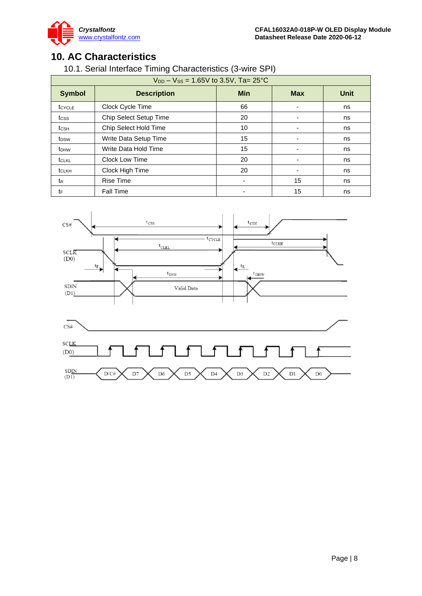

### <span id="page-7-1"></span><span id="page-7-0"></span>**10. AC Characteristics**

10.1. Serial Interface Timing Characteristics (3-wire SPI)

| $V_{DD} - V_{SS} = 1.65V$ to 3.5V, Ta= 25°C |                              |                          |            |             |  |  |  |  |
|---------------------------------------------|------------------------------|--------------------------|------------|-------------|--|--|--|--|
| <b>Symbol</b>                               | <b>Description</b>           | <b>Min</b>               | <b>Max</b> | <b>Unit</b> |  |  |  |  |
| tcycle                                      | Clock Cycle Time             | 66                       |            | ns          |  |  |  |  |
| tcss                                        | Chip Select Setup Time       | 20                       |            | ns          |  |  |  |  |
| t <sub>CSH</sub>                            | <b>Chip Select Hold Time</b> | 10                       |            | ns          |  |  |  |  |
| t <sub>DSW</sub>                            | Write Data Setup Time        | 15                       |            | ns          |  |  |  |  |
| t <sub>DHW</sub>                            | Write Data Hold Time         | 15                       |            | ns          |  |  |  |  |
| tclkl                                       | <b>Clock Low Time</b>        | 20                       |            | ns          |  |  |  |  |
| tclkh                                       | Clock High Time              | 20                       |            | ns          |  |  |  |  |
| t <sub>R</sub>                              | <b>Rise Time</b>             | $\overline{\phantom{a}}$ | 15         | ns          |  |  |  |  |
| tF                                          | <b>Fall Time</b>             |                          | 15         | ns          |  |  |  |  |

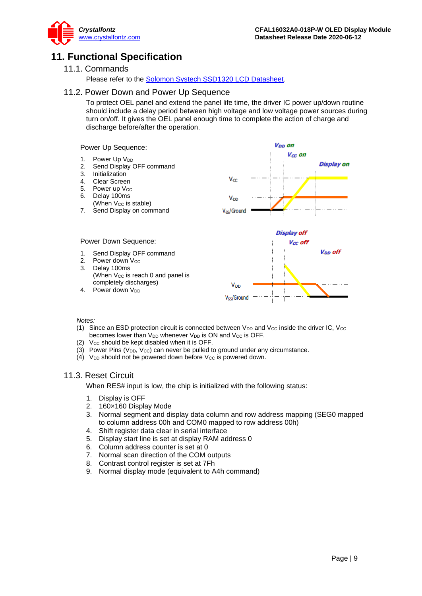

### <span id="page-8-1"></span><span id="page-8-0"></span>**11. Functional Specification**

#### 11.1. Commands

Please refer to the [Solomon Systech SSD1320 LCD Datasheet.](https://www.crystalfontz.com/controllers/SolomonSystech/SSD1320/)

#### <span id="page-8-2"></span>11.2. Power Down and Power Up Sequence

To protect OEL panel and extend the panel life time, the driver IC power up/down routine should include a delay period between high voltage and low voltage power sources during turn on/off. It gives the OEL panel enough time to complete the action of charge and discharge before/after the operation.

Power Up Sequence:

- 1. Power Up V<sub>DD</sub>
- 2. Send Display OFF command
- 3. Initialization<br>4. Clear Scree
- 4. Clear Screen
- 5. Power up Vcc
- 6. Delay 100ms (When  $V_{CC}$  is stable)
- 7. Send Display on command



1. Send Display OFF command<br>2. Power down V<sub>CC</sub> Power down V<sub>cc</sub>

Power Down Sequence:

- 3. Delay 100ms (When  $V_{CC}$  is reach 0 and panel is completely discharges)
- 4. Power down V<sub>DD</sub>

#### *Notes:*

(1) Since an ESD protection circuit is connected between  $V_{DD}$  and  $V_{CC}$  inside the driver IC,  $V_{CC}$ becomes lower than V<sub>DD</sub> whenever V<sub>DD</sub> is ON and V<sub>CC</sub> is OFF.

V<sub>ss</sub>/Ground

- (2) Vcc should be kept disabled when it is OFF.
- (3) Power Pins ( $V_{DD}$ ,  $V_{CC}$ ) can never be pulled to ground under any circumstance.
- (4)  $V_{DD}$  should not be powered down before  $V_{CC}$  is powered down.

#### <span id="page-8-3"></span>11.3. Reset Circuit

When RES# input is low, the chip is initialized with the following status:

- 1. Display is OFF
- 2. 160×160 Display Mode
- 3. Normal segment and display data column and row address mapping (SEG0 mapped to column address 00h and COM0 mapped to row address 00h)
- 4. Shift register data clear in serial interface
- 5. Display start line is set at display RAM address 0
- 6. Column address counter is set at 0
- 7. Normal scan direction of the COM outputs
- 8. Contrast control register is set at 7Fh
- 9. Normal display mode (equivalent to A4h command)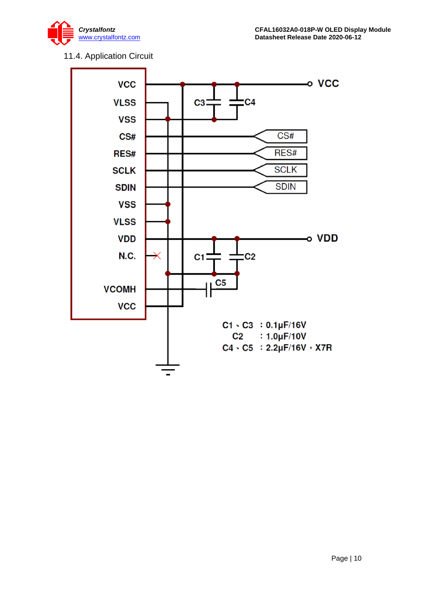

### 11.4. Application Circuit

<span id="page-9-0"></span>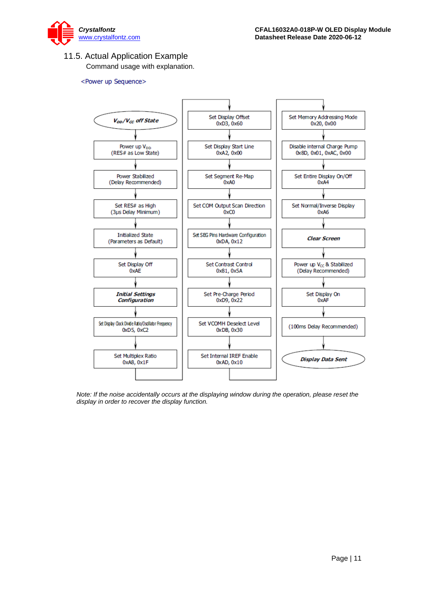

### <span id="page-10-0"></span>11.5. Actual Application Example

Command usage with explanation.

#### <Power up Sequence>



*Note: If the noise accidentally occurs at the displaying window during the operation, please reset the display in order to recover the display function.*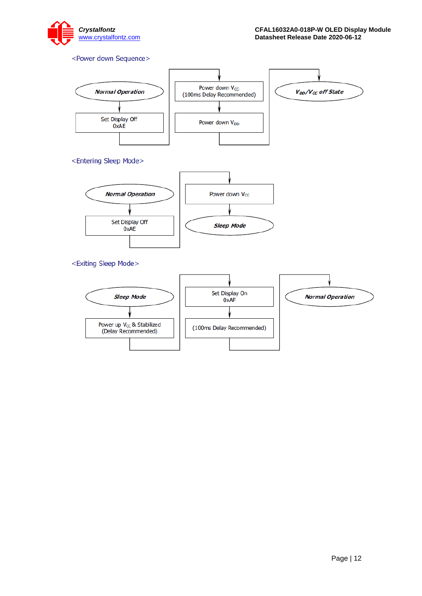

#### <Power down Sequence>

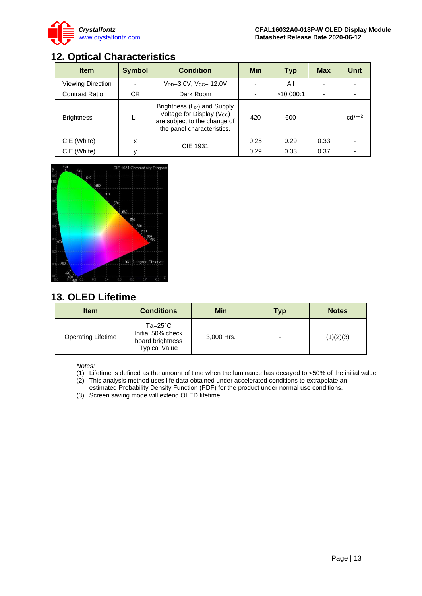

## <span id="page-12-0"></span>**12. Optical Characteristics**

| <b>Item</b>              | <b>Symbol</b> | <b>Condition</b>                                                                                                                                 | <b>Min</b> | Typ       | <b>Max</b> | Unit              |
|--------------------------|---------------|--------------------------------------------------------------------------------------------------------------------------------------------------|------------|-----------|------------|-------------------|
| <b>Viewing Direction</b> |               | V <sub>DD</sub> =3.0V, V <sub>CC</sub> = 12.0V                                                                                                   |            | All       |            |                   |
| <b>Contrast Ratio</b>    | CR.           | Dark Room                                                                                                                                        |            | >10,000:1 |            |                   |
| <b>Brightness</b>        | $L_{\rm br}$  | Brightness (L <sub>br</sub> ) and Supply<br>Voltage for Display (V <sub>cc</sub> )<br>are subject to the change of<br>the panel characteristics. | 420        | 600       |            | cd/m <sup>2</sup> |
| CIE (White)              | x             |                                                                                                                                                  | 0.25       | 0.29      | 0.33       |                   |
| CIE (White)              |               | <b>CIE 1931</b>                                                                                                                                  | 0.29       | 0.33      | 0.37       |                   |



### <span id="page-12-1"></span>**13. OLED Lifetime**

| <b>Item</b>               | <b>Conditions</b>                                                                   | <b>Min</b> | <b>Typ</b> | <b>Notes</b> |
|---------------------------|-------------------------------------------------------------------------------------|------------|------------|--------------|
| <b>Operating Lifetime</b> | $Ta = 25^{\circ}C$<br>Initial 50% check<br>board brightness<br><b>Typical Value</b> | 3,000 Hrs. |            | (1)(2)(3)    |

*Notes:* 

- (1) Lifetime is defined as the amount of time when the luminance has decayed to <50% of the initial value.
- $\overrightarrow{2}$  This analysis method uses life data obtained under accelerated conditions to extrapolate an
- estimated Probability Density Function (PDF) for the product under normal use conditions.
- (3) Screen saving mode will extend OLED lifetime.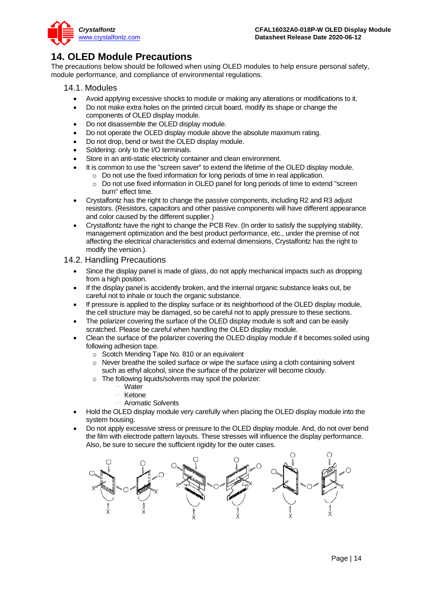

### <span id="page-13-0"></span>**14. OLED Module Precautions**

The precautions below should be followed when using OLED modules to help ensure personal safety, module performance, and compliance of environmental regulations.

#### <span id="page-13-1"></span>14.1. Modules

- Avoid applying excessive shocks to module or making any alterations or modifications to it.
- Do not make extra holes on the printed circuit board, modify its shape or change the components of OLED display module.
- Do not disassemble the OLED display module.
- Do not operate the OLED display module above the absolute maximum rating.
- Do not drop, bend or twist the OLED display module.
- Soldering: only to the I/O terminals.
- Store in an anti-static electricity container and clean environment.
- It is common to use the "screen saver" to extend the lifetime of the OLED display module.
	- $\circ$  Do not use the fixed information for long periods of time in real application.
	- o Do not use fixed information in OLED panel for long periods of time to extend "screen burn" effect time.
- Crystalfontz has the right to change the passive components, including R2 and R3 adjust resistors. (Resistors, capacitors and other passive components will have different appearance and color caused by the different supplier.)
- Crystalfontz have the right to change the PCB Rev. (In order to satisfy the supplying stability, management optimization and the best product performance, etc., under the premise of not affecting the electrical characteristics and external dimensions, Crystalfontz has the right to modify the version.).

#### <span id="page-13-2"></span>14.2. Handling Precautions

- Since the display panel is made of glass, do not apply mechanical impacts such as dropping from a high position.
- If the display panel is accidently broken, and the internal organic substance leaks out, be careful not to inhale or touch the organic substance.
- If pressure is applied to the display surface or its neighborhood of the OLED display module, the cell structure may be damaged, so be careful not to apply pressure to these sections.
- The polarizer covering the surface of the OLED display module is soft and can be easily scratched. Please be careful when handling the OLED display module.
- Clean the surface of the polarizer covering the OLED display module if it becomes soiled using following adhesion tape.
	- o Scotch Mending Tape No. 810 or an equivalent
	- $\circ$  Never breathe the soiled surface or wipe the surface using a cloth containing solvent such as ethyl alcohol, since the surface of the polarizer will become cloudy.
	- o The following liquids/solvents may spoil the polarizer:
		- Water
		- **Ketone**
		- Aromatic Solvents
- Hold the OLED display module very carefully when placing the OLED display module into the system housing.
- Do not apply excessive stress or pressure to the OLED display module. And, do not over bend the film with electrode pattern layouts. These stresses will influence the display performance. Also, be sure to secure the sufficient rigidity for the outer cases.

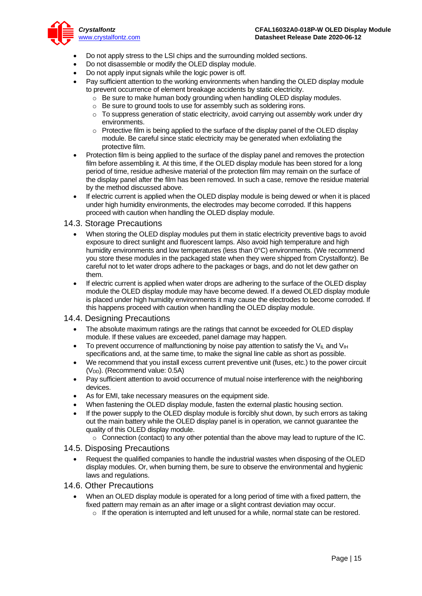

- Do not apply stress to the LSI chips and the surrounding molded sections.
- Do not disassemble or modify the OLED display module.
- Do not apply input signals while the logic power is off.
- Pay sufficient attention to the working environments when handing the OLED display module to prevent occurrence of element breakage accidents by static electricity.
	- o Be sure to make human body grounding when handling OLED display modules.
	- o Be sure to ground tools to use for assembly such as soldering irons.
	- $\circ$  To suppress generation of static electricity, avoid carrying out assembly work under dry environments.
	- $\circ$  Protective film is being applied to the surface of the display panel of the OLED display module. Be careful since static electricity may be generated when exfoliating the protective film.
- Protection film is being applied to the surface of the display panel and removes the protection film before assembling it. At this time, if the OLED display module has been stored for a long period of time, residue adhesive material of the protection film may remain on the surface of the display panel after the film has been removed. In such a case, remove the residue material by the method discussed above.
- If electric current is applied when the OLED display module is being dewed or when it is placed under high humidity environments, the electrodes may become corroded. If this happens proceed with caution when handling the OLED display module.

#### <span id="page-14-0"></span>14.3. Storage Precautions

- When storing the OLED display modules put them in static electricity preventive bags to avoid exposure to direct sunlight and fluorescent lamps. Also avoid high temperature and high humidity environments and low temperatures (less than 0°C) environments. (We recommend you store these modules in the packaged state when they were shipped from Crystalfontz). Be careful not to let water drops adhere to the packages or bags, and do not let dew gather on them.
- If electric current is applied when water drops are adhering to the surface of the OLED display module the OLED display module may have become dewed. If a dewed OLED display module is placed under high humidity environments it may cause the electrodes to become corroded. If this happens proceed with caution when handling the OLED display module.

#### <span id="page-14-1"></span>14.4. Designing Precautions

- The absolute maximum ratings are the ratings that cannot be exceeded for OLED display module. If these values are exceeded, panel damage may happen.
- To prevent occurrence of malfunctioning by noise pay attention to satisfy the  $V_{\parallel}$  and  $V_{\parallel}$ specifications and, at the same time, to make the signal line cable as short as possible.
- We recommend that you install excess current preventive unit (fuses, etc.) to the power circuit  $(V<sub>DD</sub>)$ . (Recommend value: 0.5A)
- Pay sufficient attention to avoid occurrence of mutual noise interference with the neighboring devices.
- As for EMI, take necessary measures on the equipment side.
- When fastening the OLED display module, fasten the external plastic housing section.
- If the power supply to the OLED display module is forcibly shut down, by such errors as taking out the main battery while the OLED display panel is in operation, we cannot guarantee the quality of this OLED display module.
	- $\circ$  Connection (contact) to any other potential than the above may lead to rupture of the IC.

#### <span id="page-14-2"></span>14.5. Disposing Precautions

• Request the qualified companies to handle the industrial wastes when disposing of the OLED display modules. Or, when burning them, be sure to observe the environmental and hygienic laws and regulations.

#### <span id="page-14-3"></span>14.6. Other Precautions

- When an OLED display module is operated for a long period of time with a fixed pattern, the fixed pattern may remain as an after image or a slight contrast deviation may occur.
	- $\circ$  If the operation is interrupted and left unused for a while, normal state can be restored.